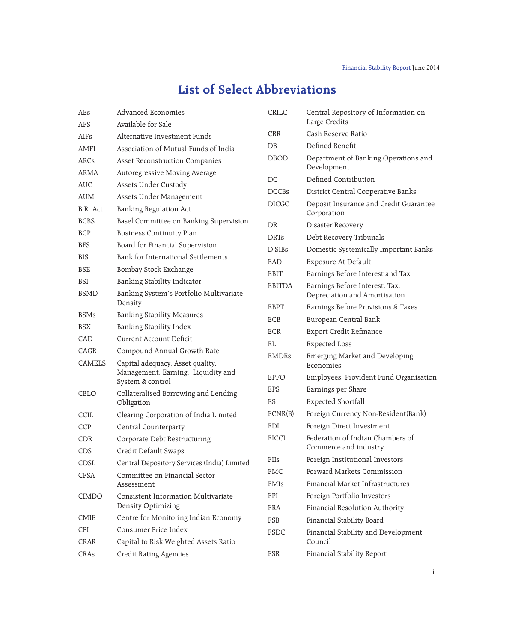## **List of Select Abbreviations**

| AEs              | <b>Advanced Economies</b>                                                                  | CRILC         | Central Repository of Information on<br>Large Credits |
|------------------|--------------------------------------------------------------------------------------------|---------------|-------------------------------------------------------|
| <b>AFS</b>       | Available for Sale                                                                         | <b>CRR</b>    | Cash Reserve Ratio                                    |
| AIF <sub>s</sub> | Alternative Investment Funds                                                               | DB            | Defined Benefit                                       |
| AMFI             | Association of Mutual Funds of India                                                       |               |                                                       |
| ARCs             | <b>Asset Reconstruction Companies</b>                                                      | <b>DBOD</b>   | Department of Banking Operations and<br>Development   |
| <b>ARMA</b>      | Autoregressive Moving Average                                                              | $DC$          | Defined Contribution                                  |
| <b>AUC</b>       | Assets Under Custody                                                                       | <b>DCCBs</b>  | District Central Cooperative Banks                    |
| <b>AUM</b>       | Assets Under Management                                                                    | <b>DICGC</b>  | Deposit Insurance and Credit Guarantee                |
| B.R. Act         | Banking Regulation Act                                                                     |               | Corporation                                           |
| <b>BCBS</b>      | Basel Committee on Banking Supervision                                                     | DR            | Disaster Recovery                                     |
| <b>BCP</b>       | <b>Business Continuity Plan</b>                                                            | <b>DRTs</b>   | Debt Recovery Tribunals                               |
| <b>BFS</b>       | Board for Financial Supervision                                                            | D-SIBs        | Domestic Systemically Important Banks                 |
| <b>BIS</b>       | Bank for International Settlements                                                         | EAD           | Exposure At Default                                   |
| <b>BSE</b>       | Bombay Stock Exchange                                                                      | EBIT          | Earnings Before Interest and Tax                      |
| <b>BSI</b>       | Banking Stability Indicator                                                                | <b>EBITDA</b> | Earnings Before Interest, Tax,                        |
| <b>BSMD</b>      | Banking System's Portfolio Multivariate                                                    |               | Depreciation and Amortisation                         |
|                  | Density                                                                                    | <b>EBPT</b>   | Earnings Before Provisions & Taxes                    |
| <b>BSMs</b>      | <b>Banking Stability Measures</b>                                                          | ECB           | European Central Bank                                 |
| <b>BSX</b>       | Banking Stability Index                                                                    | <b>ECR</b>    | Export Credit Refinance                               |
| CAD              | <b>Current Account Deficit</b>                                                             | EL            | <b>Expected Loss</b>                                  |
| CAGR             | Compound Annual Growth Rate                                                                | <b>EMDEs</b>  | Emerging Market and Developing                        |
| CAMELS           | Capital adequacy, Asset quality,<br>Management, Earning, Liquidity and<br>System & control |               | Economies                                             |
|                  |                                                                                            | <b>EPFO</b>   | Employees' Provident Fund Organisation                |
| CBLO             | Collateralised Borrowing and Lending<br>Obligation                                         | <b>EPS</b>    | Earnings per Share                                    |
|                  |                                                                                            | ES            | <b>Expected Shortfall</b>                             |
| CCIL             | Clearing Corporation of India Limited                                                      | FCNR(B)       | Foreign Currency Non-Resident(Bank)                   |
| <b>CCP</b>       | Central Counterparty                                                                       | <b>FDI</b>    | Foreign Direct Investment                             |
| CDR              | Corporate Debt Restructuring                                                               | <b>FICCI</b>  | Federation of Indian Chambers of                      |
| CDS              | Credit Default Swaps                                                                       |               | Commerce and industry                                 |
| CDSL             | Central Depository Services (India) Limited                                                | FIIs          | Foreign Institutional Investors                       |
| CFSA             | Committee on Financial Sector<br>Assessment                                                | <b>FMC</b>    | Forward Markets Commission                            |
|                  |                                                                                            | FMIs          | Financial Market Infrastructures                      |
| <b>CIMDO</b>     | Consistent Information Multivariate                                                        | FPI           | Foreign Portfolio Investors                           |
|                  | Density Optimizing                                                                         | <b>FRA</b>    | Financial Resolution Authority                        |
| CMIE             | Centre for Monitoring Indian Economy                                                       | FSB           | Financial Stability Board                             |
| CPI              | Consumer Price Index                                                                       | FSDC          | Financial Stability and Development                   |
| CRAR             | Capital to Risk Weighted Assets Ratio                                                      |               | Council                                               |
| CRAs             | Credit Rating Agencies                                                                     | FSR           | Financial Stability Report                            |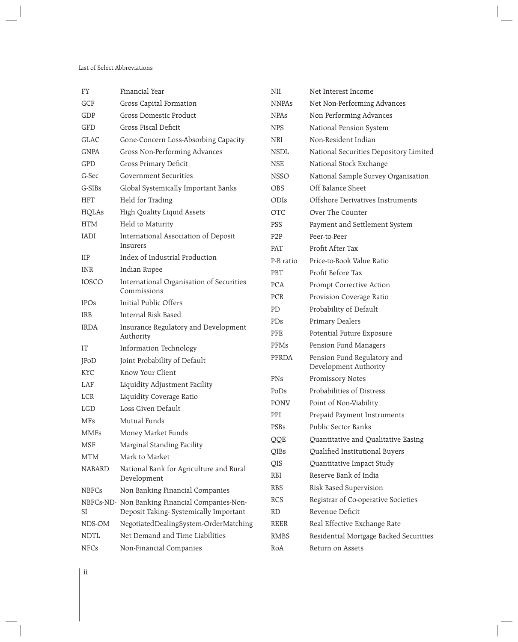| FY            | Financial Year                                          | NII               | Net Interest Income                                         |
|---------------|---------------------------------------------------------|-------------------|-------------------------------------------------------------|
| GCF           | Gross Capital Formation                                 | <b>NNPAs</b>      | Net Non-Performing Advances                                 |
| GDP           | Gross Domestic Product                                  | <b>NPAs</b>       | Non Performing Advances                                     |
| GFD           | Gross Fiscal Deficit                                    | <b>NPS</b>        | National Pension System                                     |
| <b>GLAC</b>   | Gone-Concern Loss-Absorbing Capacity                    | NRI               | Non-Resident Indian                                         |
| <b>GNPA</b>   | Gross Non-Performing Advances                           | <b>NSDL</b>       | National Securities Depository Limited                      |
| GPD           | Gross Primary Deficit                                   | <b>NSE</b>        | National Stock Exchange                                     |
| G-Sec         | <b>Government Securities</b>                            | <b>NSSO</b>       | National Sample Survey Organisation                         |
| G-SIBs        | Global Systemically Important Banks                     | OBS               | Off Balance Sheet                                           |
| <b>HFT</b>    | Held for Trading                                        | ODIs              | Offshore Derivatives Instruments                            |
| HQLAs         | High Quality Liquid Assets                              | <b>OTC</b>        | Over The Counter                                            |
| <b>HTM</b>    | Held to Maturity                                        | PSS               | Payment and Settlement System                               |
| <b>IADI</b>   | International Association of Deposit                    | P <sub>2</sub> P  | Peer-to-Peer                                                |
|               | Insurers                                                | PAT               | Profit After Tax                                            |
| <b>IIP</b>    | Index of Industrial Production                          | P-B ratio         | Price-to-Book Value Ratio                                   |
| <b>INR</b>    | Indian Rupee                                            | PBT               | Profit Before Tax                                           |
| <b>IOSCO</b>  | International Organisation of Securities<br>Commissions | <b>PCA</b>        | Prompt Corrective Action                                    |
| <b>IPOs</b>   | Initial Public Offers                                   | PCR               | Provision Coverage Ratio                                    |
| IRB           | Internal Risk Based                                     | PD                | Probability of Default                                      |
| <b>IRDA</b>   | Insurance Regulatory and Development                    | PDs               | Primary Dealers                                             |
|               | Authority                                               | PFE               | Potential Future Exposure                                   |
| IT            | Information Technology                                  | PFMs              | Pension Fund Managers                                       |
| JPoD          | Joint Probability of Default                            | PFRDA             | Pension Fund Regulatory and                                 |
| KYC           | Know Your Client                                        | PNs               | Development Authority                                       |
| LAF           | Liquidity Adjustment Facility                           |                   | Promissory Notes<br>Probabilities of Distress               |
| LCR           | Liquidity Coverage Ratio                                | PoDs              |                                                             |
| <b>LGD</b>    | Loss Given Default                                      | PONV              | Point of Non-Viability                                      |
| MFs           | Mutual Funds                                            | PPI               | Prepaid Payment Instruments<br>Public Sector Banks          |
| MMFs          | Money Market Funds                                      | PSBs              |                                                             |
| <b>MSF</b>    | Marginal Standing Facility                              | QQE               | Quantitative and Qualitative Easing                         |
| <b>MTM</b>    | Mark to Market                                          | QIBs              | Qualified Institutional Buyers<br>Quantitative Impact Study |
| <b>NABARD</b> | National Bank for Agriculture and Rural<br>Development  | QIS<br><b>RBI</b> | Reserve Bank of India                                       |
| <b>NBFCs</b>  | Non Banking Financial Companies                         | <b>RBS</b>        | Risk Based Supervision                                      |
|               | NBFCs-ND- Non Banking Financial Companies-Non-          | RCS               | Registrar of Co-operative Societies                         |
| SI            | Deposit Taking-Systemically Important                   | RD                | Revenue Deficit                                             |
| NDS-OM        | NegotiatedDealingSystem-OrderMatching                   | <b>REER</b>       | Real Effective Exchange Rate                                |
| <b>NDTL</b>   | Net Demand and Time Liabilities                         | RMBS              | Residential Mortgage Backed Securities                      |
| <b>NFCs</b>   | Non-Financial Companies                                 | RoA               | Return on Assets                                            |